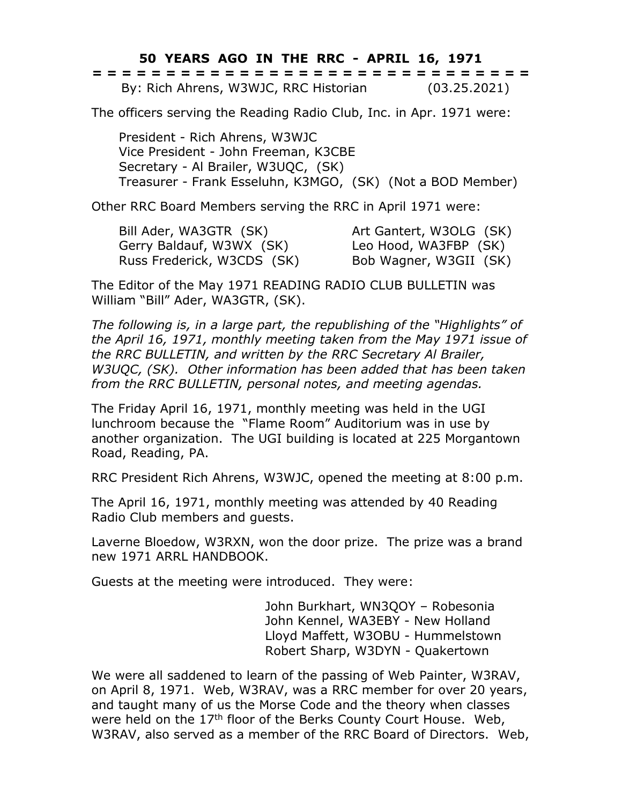**50 YEARS AGO IN THE RRC - APRIL 16, 1971**

|  |  |  |  |  |  |  |  |  | ------------------------------<br>------------------------------ |  |  |  |  |              |  |
|--|--|--|--|--|--|--|--|--|------------------------------------------------------------------|--|--|--|--|--------------|--|
|  |  |  |  |  |  |  |  |  | By: Rich Ahrens, W3WJC, RRC Historian                            |  |  |  |  | (03.25.2021) |  |

The officers serving the Reading Radio Club, Inc. in Apr. 1971 were:

President - Rich Ahrens, W3WJC Vice President - John Freeman, K3CBE Secretary - Al Brailer, W3UQC, (SK) Treasurer - Frank Esseluhn, K3MGO, (SK) (Not a BOD Member)

Other RRC Board Members serving the RRC in April 1971 were:

Bill Ader, WA3GTR (SK) Art Gantert, W3OLG (SK) Gerry Baldauf, W3WX (SK) Leo Hood, WA3FBP (SK) Russ Frederick, W3CDS (SK) Bob Wagner, W3GII (SK)

The Editor of the May 1971 READING RADIO CLUB BULLETIN was William "Bill" Ader, WA3GTR, (SK).

*The following is, in a large part, the republishing of the "Highlights" of the April 16, 1971, monthly meeting taken from the May 1971 issue of the RRC BULLETIN, and written by the RRC Secretary Al Brailer, W3UQC, (SK). Other information has been added that has been taken from the RRC BULLETIN, personal notes, and meeting agendas.*

The Friday April 16, 1971, monthly meeting was held in the UGI lunchroom because the "Flame Room" Auditorium was in use by another organization. The UGI building is located at 225 Morgantown Road, Reading, PA.

RRC President Rich Ahrens, W3WJC, opened the meeting at 8:00 p.m.

The April 16, 1971, monthly meeting was attended by 40 Reading Radio Club members and guests.

Laverne Bloedow, W3RXN, won the door prize. The prize was a brand new 1971 ARRL HANDBOOK.

Guests at the meeting were introduced. They were:

John Burkhart, WN3QOY – Robesonia John Kennel, WA3EBY - New Holland Lloyd Maffett, W3OBU - Hummelstown Robert Sharp, W3DYN - Quakertown

We were all saddened to learn of the passing of Web Painter, W3RAV, on April 8, 1971. Web, W3RAV, was a RRC member for over 20 years, and taught many of us the Morse Code and the theory when classes were held on the 17<sup>th</sup> floor of the Berks County Court House. Web, W3RAV, also served as a member of the RRC Board of Directors. Web,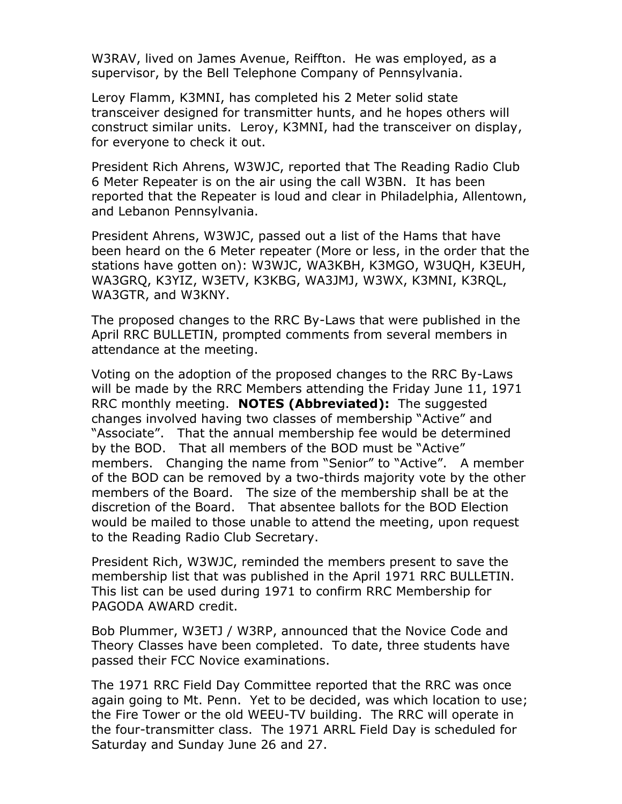W3RAV, lived on James Avenue, Reiffton. He was employed, as a supervisor, by the Bell Telephone Company of Pennsylvania.

Leroy Flamm, K3MNI, has completed his 2 Meter solid state transceiver designed for transmitter hunts, and he hopes others will construct similar units. Leroy, K3MNI, had the transceiver on display, for everyone to check it out.

President Rich Ahrens, W3WJC, reported that The Reading Radio Club 6 Meter Repeater is on the air using the call W3BN. It has been reported that the Repeater is loud and clear in Philadelphia, Allentown, and Lebanon Pennsylvania.

President Ahrens, W3WJC, passed out a list of the Hams that have been heard on the 6 Meter repeater (More or less, in the order that the stations have gotten on): W3WJC, WA3KBH, K3MGO, W3UQH, K3EUH, WA3GRQ, K3YIZ, W3ETV, K3KBG, WA3JMJ, W3WX, K3MNI, K3RQL, WA3GTR, and W3KNY.

The proposed changes to the RRC By-Laws that were published in the April RRC BULLETIN, prompted comments from several members in attendance at the meeting.

Voting on the adoption of the proposed changes to the RRC By-Laws will be made by the RRC Members attending the Friday June 11, 1971 RRC monthly meeting. **NOTES (Abbreviated):** The suggested changes involved having two classes of membership "Active" and "Associate". That the annual membership fee would be determined by the BOD. That all members of the BOD must be "Active" members. Changing the name from "Senior" to "Active". A member of the BOD can be removed by a two-thirds majority vote by the other members of the Board. The size of the membership shall be at the discretion of the Board. That absentee ballots for the BOD Election would be mailed to those unable to attend the meeting, upon request to the Reading Radio Club Secretary.

President Rich, W3WJC, reminded the members present to save the membership list that was published in the April 1971 RRC BULLETIN. This list can be used during 1971 to confirm RRC Membership for PAGODA AWARD credit.

Bob Plummer, W3ETJ / W3RP, announced that the Novice Code and Theory Classes have been completed. To date, three students have passed their FCC Novice examinations.

The 1971 RRC Field Day Committee reported that the RRC was once again going to Mt. Penn. Yet to be decided, was which location to use; the Fire Tower or the old WEEU-TV building. The RRC will operate in the four-transmitter class. The 1971 ARRL Field Day is scheduled for Saturday and Sunday June 26 and 27.